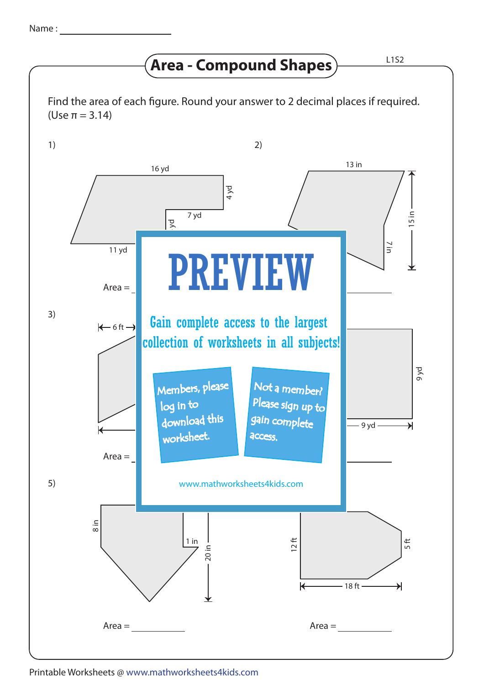## **Area - Compound Shapes**  $\rule{1em}{0.153}\n^{\phantom{1}}$

Find the area of each figure. Round your answer to 2 decimal places if required. (Use π = 3.14)



Printable Worksheets @ www.mathworksheets4kids.com